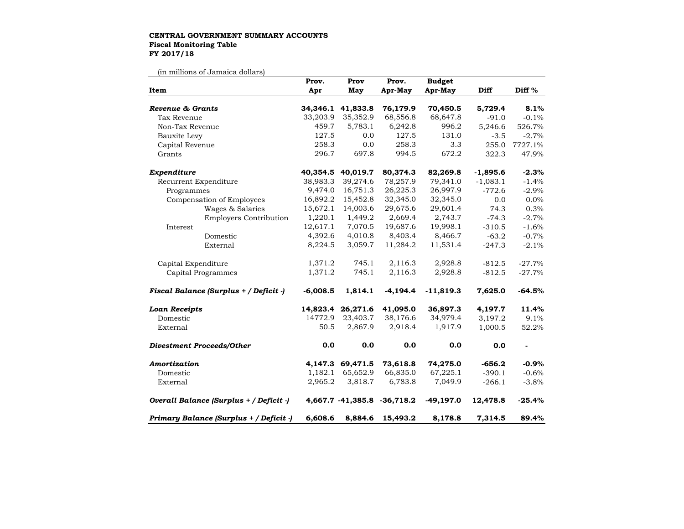## **CENTRAL GOVERNMENT SUMMARY ACCOUNTS Fiscal Monitoring Table FY 2017/18**

(in millions of Jamaica dollars)

| Item                                    | Prov.      | Prov              | Prov.                       | <b>Budget</b> |             |          |
|-----------------------------------------|------------|-------------------|-----------------------------|---------------|-------------|----------|
|                                         | Apr        | May               | Apr-May                     | Apr-May       | <b>Diff</b> | Diff %   |
| Revenue & Grants                        | 34,346.1   | 41,833.8          | 76,179.9                    | 70,450.5      | 5,729.4     | 8.1%     |
| Tax Revenue                             | 33,203.9   | 35,352.9          | 68,556.8                    | 68,647.8      | $-91.0$     | $-0.1%$  |
| Non-Tax Revenue                         | 459.7      | 5,783.1           | 6,242.8                     | 996.2         | 5,246.6     | 526.7%   |
| Bauxite Levy                            | 127.5      | 0.0               | 127.5                       | 131.0         | $-3.5$      | $-2.7%$  |
| Capital Revenue                         | 258.3      | 0.0               | 258.3                       | 3.3           | 255.0       | 7727.1%  |
| Grants                                  | 296.7      | 697.8             | 994.5                       | 672.2         | 322.3       | 47.9%    |
| Expenditure                             |            | 40,354.5 40,019.7 | 80,374.3                    | 82,269.8      | $-1,895.6$  | $-2.3%$  |
| Recurrent Expenditure                   | 38,983.3   | 39,274.6          | 78,257.9                    | 79,341.0      | $-1,083.1$  | $-1.4%$  |
| Programmes                              | 9,474.0    | 16,751.3          | 26,225.3                    | 26,997.9      | $-772.6$    | $-2.9%$  |
| Compensation of Employees               | 16,892.2   | 15,452.8          | 32,345.0                    | 32,345.0      | 0.0         | 0.0%     |
| Wages & Salaries                        | 15,672.1   | 14,003.6          | 29,675.6                    | 29,601.4      | 74.3        | 0.3%     |
| Employers Contribution                  | 1,220.1    | 1,449.2           | 2,669.4                     | 2,743.7       | $-74.3$     | $-2.7%$  |
| Interest                                | 12,617.1   | 7,070.5           | 19,687.6                    | 19,998.1      | $-310.5$    | $-1.6%$  |
| Domestic                                | 4,392.6    | 4,010.8           | 8,403.4                     | 8,466.7       | $-63.2$     | $-0.7%$  |
| External                                | 8,224.5    | 3,059.7           | 11,284.2                    | 11,531.4      | $-247.3$    | $-2.1%$  |
| Capital Expenditure                     | 1,371.2    | 745.1             | 2,116.3                     | 2,928.8       | $-812.5$    | $-27.7%$ |
| Capital Programmes                      | 1,371.2    | 745.1             | 2,116.3                     | 2,928.8       | $-812.5$    | $-27.7%$ |
| Fiscal Balance (Surplus + / Deficit -)  | $-6,008.5$ | 1,814.1           | $-4,194.4$                  | $-11,819.3$   | 7,625.0     | $-64.5%$ |
| <b>Loan Receipts</b>                    |            | 14,823.4 26,271.6 | 41,095.0                    | 36,897.3      | 4,197.7     | 11.4%    |
| Domestic                                | 14772.9    | 23,403.7          | 38,176.6                    | 34,979.4      | 3,197.2     | 9.1%     |
| External                                | 50.5       | 2,867.9           | 2,918.4                     | 1,917.9       | 1,000.5     | 52.2%    |
| Divestment Proceeds/Other               | 0.0        | 0.0               | 0.0                         | 0.0           | 0.0         |          |
| Amortization                            |            | 4,147.3 69,471.5  | 73,618.8                    | 74,275.0      | $-656.2$    | $-0.9%$  |
| Domestic                                | 1,182.1    | 65,652.9          | 66,835.0                    | 67,225.1      | $-390.1$    | $-0.6%$  |
| External                                | 2,965.2    | 3,818.7           | 6,783.8                     | 7,049.9       | $-266.1$    | $-3.8%$  |
| Overall Balance (Surplus + / Deficit -) |            |                   | 4,667.7 -41,385.8 -36,718.2 | $-49,197.0$   | 12,478.8    | $-25.4%$ |
| Primary Balance (Surplus + / Deficit -) | 6,608.6    | 8,884.6           | 15,493.2                    | 8,178.8       | 7,314.5     | 89.4%    |